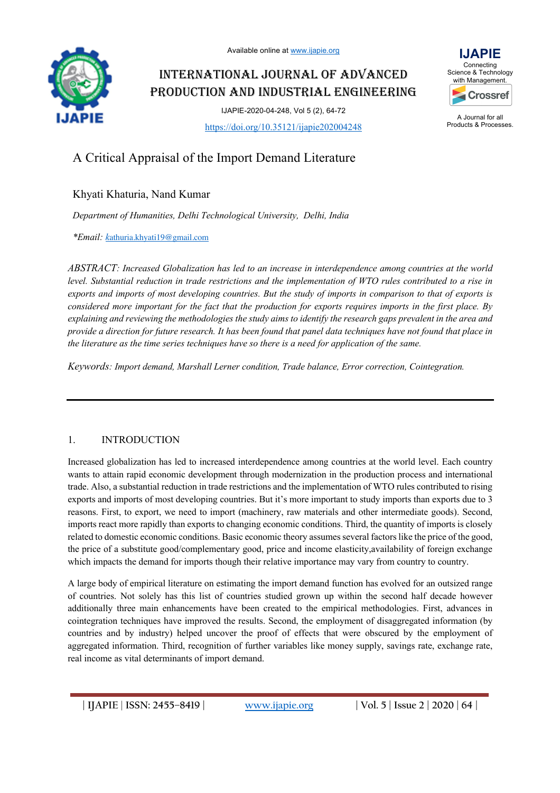

INTERNATIONAL JOURNAL OF ADVANCED PRODUCTION AND INDUSTRIAL ENGINEERING

> IJAPIE-2020-04-248, Vol 5 (2), 64-72 https://doi.org/10.35121/ijapie202004248



A Journal for all Products & Processes.

# A Critical Appraisal of the Import Demand Literature

## Khyati Khaturia, Nand Kumar

*Department of Humanities, Delhi Technological University, Delhi, India*

*\*Email: k*athuria.khyati19@gmail.com

*ABSTRACT: Increased Globalization has led to an increase in interdependence among countries at the world level. Substantial reduction in trade restrictions and the implementation of WTO rules contributed to a rise in exports and imports of most developing countries. But the study of imports in comparison to that of exports is considered more important for the fact that the production for exports requires imports in the first place. By explaining and reviewing the methodologies the study aims to identify the research gaps prevalent in the area and provide a direction for future research. It has been found that panel data techniques have not found that place in the literature as the time series techniques have so there is a need for application of the same.*

*Keywords: Import demand, Marshall Lerner condition, Trade balance, Error correction, Cointegration.*

## 1. INTRODUCTION

Increased globalization has led to increased interdependence among countries at the world level. Each country wants to attain rapid economic development through modernization in the production process and international trade. Also, a substantial reduction in trade restrictions and the implementation of WTO rules contributed to rising exports and imports of most developing countries. But it's more important to study imports than exports due to 3 reasons. First, to export, we need to import (machinery, raw materials and other intermediate goods). Second, imports react more rapidly than exports to changing economic conditions. Third, the quantity of imports is closely related to domestic economic conditions. Basic economic theory assumes several factors like the price of the good, the price of a substitute good/complementary good, price and income elasticity,availability of foreign exchange which impacts the demand for imports though their relative importance may vary from country to country.

A large body of empirical literature on estimating the import demand function has evolved for an outsized range of countries. Not solely has this list of countries studied grown up within the second half decade however additionally three main enhancements have been created to the empirical methodologies. First, advances in cointegration techniques have improved the results. Second, the employment of disaggregated information (by countries and by industry) helped uncover the proof of effects that were obscured by the employment of aggregated information. Third, recognition of further variables like money supply, savings rate, exchange rate, real income as vital determinants of import demand.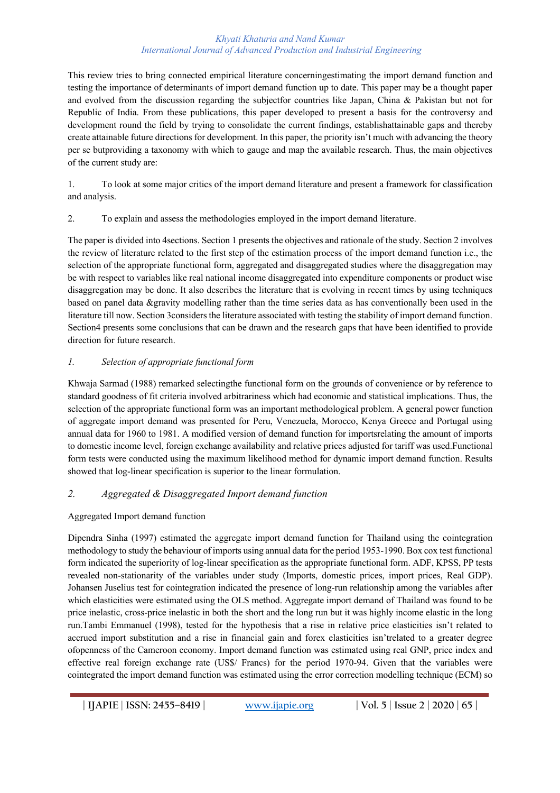This review tries to bring connected empirical literature concerningestimating the import demand function and testing the importance of determinants of import demand function up to date. This paper may be a thought paper and evolved from the discussion regarding the subjectfor countries like Japan, China & Pakistan but not for Republic of India. From these publications, this paper developed to present a basis for the controversy and development round the field by trying to consolidate the current findings, establishattainable gaps and thereby create attainable future directions for development. In this paper, the priority isn't much with advancing the theory per se butproviding a taxonomy with which to gauge and map the available research. Thus, the main objectives of the current study are:

1. To look at some major critics of the import demand literature and present a framework for classification and analysis.

2. To explain and assess the methodologies employed in the import demand literature.

The paper is divided into 4sections. Section 1 presents the objectives and rationale of the study. Section 2 involves the review of literature related to the first step of the estimation process of the import demand function i.e., the selection of the appropriate functional form, aggregated and disaggregated studies where the disaggregation may be with respect to variables like real national income disaggregated into expenditure components or product wise disaggregation may be done. It also describes the literature that is evolving in recent times by using techniques based on panel data &gravity modelling rather than the time series data as has conventionally been used in the literature till now. Section 3considers the literature associated with testing the stability of import demand function. Section4 presents some conclusions that can be drawn and the research gaps that have been identified to provide direction for future research.

## *1. Selection of appropriate functional form*

Khwaja Sarmad (1988) remarked selectingthe functional form on the grounds of convenience or by reference to standard goodness of fit criteria involved arbitrariness which had economic and statistical implications. Thus, the selection of the appropriate functional form was an important methodological problem. A general power function of aggregate import demand was presented for Peru, Venezuela, Morocco, Kenya Greece and Portugal using annual data for 1960 to 1981. A modified version of demand function for importsrelating the amount of imports to domestic income level, foreign exchange availability and relative prices adjusted for tariff was used.Functional form tests were conducted using the maximum likelihood method for dynamic import demand function. Results showed that log-linear specification is superior to the linear formulation.

## *2. Aggregated & Disaggregated Import demand function*

## Aggregated Import demand function

Dipendra Sinha (1997) estimated the aggregate import demand function for Thailand using the cointegration methodology to study the behaviour of imports using annual data for the period 1953-1990. Box cox test functional form indicated the superiority of log-linear specification as the appropriate functional form. ADF, KPSS, PP tests revealed non-stationarity of the variables under study (Imports, domestic prices, import prices, Real GDP). Johansen Juselius test for cointegration indicated the presence of long-run relationship among the variables after which elasticities were estimated using the OLS method. Aggregate import demand of Thailand was found to be price inelastic, cross-price inelastic in both the short and the long run but it was highly income elastic in the long run.Tambi Emmanuel (1998), tested for the hypothesis that a rise in relative price elasticities isn't related to accrued import substitution and a rise in financial gain and forex elasticities isn'trelated to a greater degree ofopenness of the Cameroon economy. Import demand function was estimated using real GNP, price index and effective real foreign exchange rate (US\$/ Francs) for the period 1970-94. Given that the variables were cointegrated the import demand function was estimated using the error correction modelling technique (ECM) so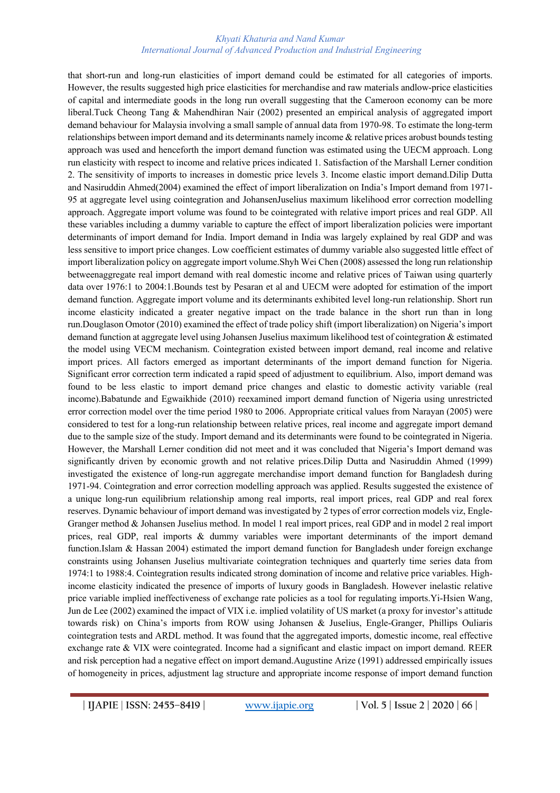that short-run and long-run elasticities of import demand could be estimated for all categories of imports. However, the results suggested high price elasticities for merchandise and raw materials andlow-price elasticities of capital and intermediate goods in the long run overall suggesting that the Cameroon economy can be more liberal.Tuck Cheong Tang & Mahendhiran Nair (2002) presented an empirical analysis of aggregated import demand behaviour for Malaysia involving a small sample of annual data from 1970-98. To estimate the long-term relationships between import demand and its determinants namely income & relative prices arobust bounds testing approach was used and henceforth the import demand function was estimated using the UECM approach. Long run elasticity with respect to income and relative prices indicated 1. Satisfaction of the Marshall Lerner condition 2. The sensitivity of imports to increases in domestic price levels 3. Income elastic import demand.Dilip Dutta and Nasiruddin Ahmed(2004) examined the effect of import liberalization on India's Import demand from 1971- 95 at aggregate level using cointegration and JohansenJuselius maximum likelihood error correction modelling approach. Aggregate import volume was found to be cointegrated with relative import prices and real GDP. All these variables including a dummy variable to capture the effect of import liberalization policies were important determinants of import demand for India. Import demand in India was largely explained by real GDP and was less sensitive to import price changes. Low coefficient estimates of dummy variable also suggested little effect of import liberalization policy on aggregate import volume.Shyh Wei Chen (2008) assessed the long run relationship betweenaggregate real import demand with real domestic income and relative prices of Taiwan using quarterly data over 1976:1 to 2004:1.Bounds test by Pesaran et al and UECM were adopted for estimation of the import demand function. Aggregate import volume and its determinants exhibited level long-run relationship. Short run income elasticity indicated a greater negative impact on the trade balance in the short run than in long run.Douglason Omotor (2010) examined the effect of trade policy shift (import liberalization) on Nigeria's import demand function at aggregate level using Johansen Juselius maximum likelihood test of cointegration & estimated the model using VECM mechanism. Cointegration existed between import demand, real income and relative import prices. All factors emerged as important determinants of the import demand function for Nigeria. Significant error correction term indicated a rapid speed of adjustment to equilibrium. Also, import demand was found to be less elastic to import demand price changes and elastic to domestic activity variable (real income).Babatunde and Egwaikhide (2010) reexamined import demand function of Nigeria using unrestricted error correction model over the time period 1980 to 2006. Appropriate critical values from Narayan (2005) were considered to test for a long-run relationship between relative prices, real income and aggregate import demand due to the sample size of the study. Import demand and its determinants were found to be cointegrated in Nigeria. However, the Marshall Lerner condition did not meet and it was concluded that Nigeria's Import demand was significantly driven by economic growth and not relative prices.Dilip Dutta and Nasiruddin Ahmed (1999) investigated the existence of long-run aggregate merchandise import demand function for Bangladesh during 1971-94. Cointegration and error correction modelling approach was applied. Results suggested the existence of a unique long-run equilibrium relationship among real imports, real import prices, real GDP and real forex reserves. Dynamic behaviour of import demand was investigated by 2 types of error correction models viz, Engle-Granger method & Johansen Juselius method. In model 1 real import prices, real GDP and in model 2 real import prices, real GDP, real imports & dummy variables were important determinants of the import demand function.Islam & Hassan 2004) estimated the import demand function for Bangladesh under foreign exchange constraints using Johansen Juselius multivariate cointegration techniques and quarterly time series data from 1974:1 to 1988:4. Cointegration results indicated strong domination of income and relative price variables. Highincome elasticity indicated the presence of imports of luxury goods in Bangladesh. However inelastic relative price variable implied ineffectiveness of exchange rate policies as a tool for regulating imports.Yi-Hsien Wang, Jun de Lee (2002) examined the impact of VIX i.e. implied volatility of US market (a proxy for investor's attitude towards risk) on China's imports from ROW using Johansen & Juselius, Engle-Granger, Phillips Ouliaris cointegration tests and ARDL method. It was found that the aggregated imports, domestic income, real effective exchange rate & VIX were cointegrated. Income had a significant and elastic impact on import demand. REER and risk perception had a negative effect on import demand.Augustine Arize (1991) addressed empirically issues of homogeneity in prices, adjustment lag structure and appropriate income response of import demand function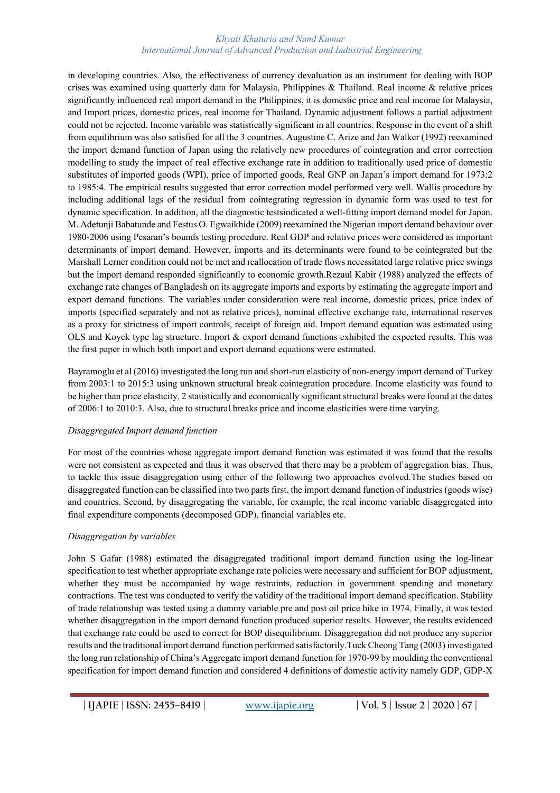in developing countries. Also, the effectiveness of currency devaluation as an instrument for dealing with BOP crises was examined using quarterly data for Malaysia, Philippines & Thailand. Real income & relative prices significantly influenced real import demand in the Philippines, it is domestic price and real income for Malaysia, and Import prices, domestic prices, real income for Thailand. Dynamic adjustment follows a partial adjustment could not be rejected. Income variable was statistically significant in all countries. Response in the event of a shift from equilibrium was also satisfied for all the 3 countries. Augustine C. Arize and Jan Walker (1992) reexamined the import demand function of Japan using the relatively new procedures of cointegration and error correction modelling to study the impact of real effective exchange rate in addition to traditionally used price of domestic substitutes of imported goods (WPI), price of imported goods, Real GNP on Japan's import demand for 1973:2 to 1985:4. The empirical results suggested that error correction model performed very well. Wallis procedure by including additional lags of the residual from cointegrating regression in dynamic form was used to test for dynamic specification. In addition, all the diagnostic testsindicated a well-fitting import demand model for Japan. M. Adetunji Babatunde and Festus O. Egwaikhide (2009) reexamined the Nigerian import demand behaviour over 1980-2006 using Pesaran's bounds testing procedure. Real GDP and relative prices were considered as important determinants of import demand. However, imports and its determinants were found to be cointegrated but the Marshall Lerner condition could not be met and reallocation of trade flows necessitated large relative price swings but the import demand responded significantly to economic growth.Rezaul Kabir (1988) analyzed the effects of exchange rate changes of Bangladesh on its aggregate imports and exports by estimating the aggregate import and export demand functions. The variables under consideration were real income, domestic prices, price index of imports (specified separately and not as relative prices), nominal effective exchange rate, international reserves as a proxy for strictness of import controls, receipt of foreign aid. Import demand equation was estimated using OLS and Koyck type lag structure. Import & export demand functions exhibited the expected results. This was the first paper in which both import and export demand equations were estimated.

Bayramoglu et al (2016) investigated the long run and short-run elasticity of non-energy import demand of Turkey from 2003:1 to 2015:3 using unknown structural break cointegration procedure. Income elasticity was found to be higher than price elasticity. 2 statistically and economically significant structural breaks were found at the dates of 2006:1 to 2010:3. Also, due to structural breaks price and income elasticities were time varying.

## *Disaggregated Import demand function*

For most of the countries whose aggregate import demand function was estimated it was found that the results were not consistent as expected and thus it was observed that there may be a problem of aggregation bias. Thus, to tackle this issue disaggregation using either of the following two approaches evolved.The studies based on disaggregated function can be classified into two parts first, the import demand function of industries (goods wise) and countries. Second, by disaggregating the variable, for example, the real income variable disaggregated into final expenditure components (decomposed GDP), financial variables etc.

## *Disaggregation by variables*

John S Gafar (1988) estimated the disaggregated traditional import demand function using the log-linear specification to test whether appropriate exchange rate policies were necessary and sufficient for BOP adjustment, whether they must be accompanied by wage restraints, reduction in government spending and monetary contractions. The test was conducted to verify the validity of the traditional import demand specification. Stability of trade relationship was tested using a dummy variable pre and post oil price hike in 1974. Finally, it was tested whether disaggregation in the import demand function produced superior results. However, the results evidenced that exchange rate could be used to correct for BOP disequilibrium. Disaggregation did not produce any superior results and the traditional import demand function performed satisfactorily.Tuck Cheong Tang (2003) investigated the long run relationship of China's Aggregate import demand function for 1970-99 by moulding the conventional specification for import demand function and considered 4 definitions of domestic activity namely GDP, GDP-X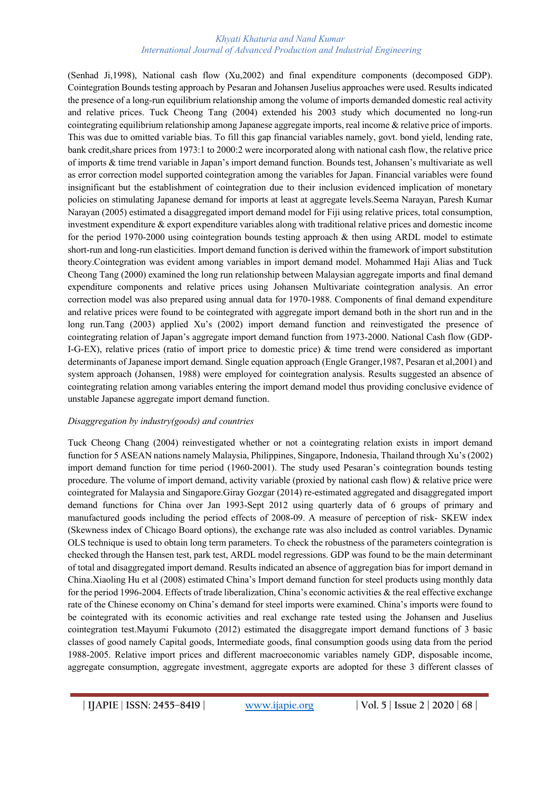(Senhad Ji,1998), National cash flow (Xu,2002) and final expenditure components (decomposed GDP). Cointegration Bounds testing approach by Pesaran and Johansen Juselius approaches were used. Results indicated the presence of a long-run equilibrium relationship among the volume of imports demanded domestic real activity and relative prices. Tuck Cheong Tang (2004) extended his 2003 study which documented no long-run cointegrating equilibrium relationship among Japanese aggregate imports, real income & relative price of imports. This was due to omitted variable bias. To fill this gap financial variables namely, govt. bond yield, lending rate, bank credit,share prices from 1973:1 to 2000:2 were incorporated along with national cash flow, the relative price of imports & time trend variable in Japan's import demand function. Bounds test, Johansen's multivariate as well as error correction model supported cointegration among the variables for Japan. Financial variables were found insignificant but the establishment of cointegration due to their inclusion evidenced implication of monetary policies on stimulating Japanese demand for imports at least at aggregate levels.Seema Narayan, Paresh Kumar Narayan (2005) estimated a disaggregated import demand model for Fiji using relative prices, total consumption, investment expenditure & export expenditure variables along with traditional relative prices and domestic income for the period 1970-2000 using cointegration bounds testing approach & then using ARDL model to estimate short-run and long-run elasticities. Import demand function is derived within the framework of import substitution theory.Cointegration was evident among variables in import demand model. Mohammed Haji Alias and Tuck Cheong Tang (2000) examined the long run relationship between Malaysian aggregate imports and final demand expenditure components and relative prices using Johansen Multivariate cointegration analysis. An error correction model was also prepared using annual data for 1970-1988. Components of final demand expenditure and relative prices were found to be cointegrated with aggregate import demand both in the short run and in the long run.Tang (2003) applied Xu's (2002) import demand function and reinvestigated the presence of cointegrating relation of Japan's aggregate import demand function from 1973-2000. National Cash flow (GDP-I-G-EX), relative prices (ratio of import price to domestic price) & time trend were considered as important determinants of Japanese import demand. Single equation approach (Engle Granger,1987, Pesaran et al,2001) and system approach (Johansen, 1988) were employed for cointegration analysis. Results suggested an absence of cointegrating relation among variables entering the import demand model thus providing conclusive evidence of unstable Japanese aggregate import demand function.

#### *Disaggregation by industry(goods) and countries*

Tuck Cheong Chang (2004) reinvestigated whether or not a cointegrating relation exists in import demand function for 5 ASEAN nations namely Malaysia, Philippines, Singapore, Indonesia, Thailand through Xu's (2002) import demand function for time period (1960-2001). The study used Pesaran's cointegration bounds testing procedure. The volume of import demand, activity variable (proxied by national cash flow) & relative price were cointegrated for Malaysia and Singapore.Giray Gozgar (2014) re-estimated aggregated and disaggregated import demand functions for China over Jan 1993-Sept 2012 using quarterly data of 6 groups of primary and manufactured goods including the period effects of 2008-09. A measure of perception of risk- SKEW index (Skewness index of Chicago Board options), the exchange rate was also included as control variables. Dynamic OLS technique is used to obtain long term parameters. To check the robustness of the parameters cointegration is checked through the Hansen test, park test, ARDL model regressions. GDP was found to be the main determinant of total and disaggregated import demand. Results indicated an absence of aggregation bias for import demand in China.Xiaoling Hu et al (2008) estimated China's Import demand function for steel products using monthly data for the period 1996-2004. Effects of trade liberalization, China's economic activities & the real effective exchange rate of the Chinese economy on China's demand for steel imports were examined. China's imports were found to be cointegrated with its economic activities and real exchange rate tested using the Johansen and Juselius cointegration test.Mayumi Fukumoto (2012) estimated the disaggregate import demand functions of 3 basic classes of good namely Capital goods, Intermediate goods, final consumption goods using data from the period 1988-2005. Relative import prices and different macroeconomic variables namely GDP, disposable income, aggregate consumption, aggregate investment, aggregate exports are adopted for these 3 different classes of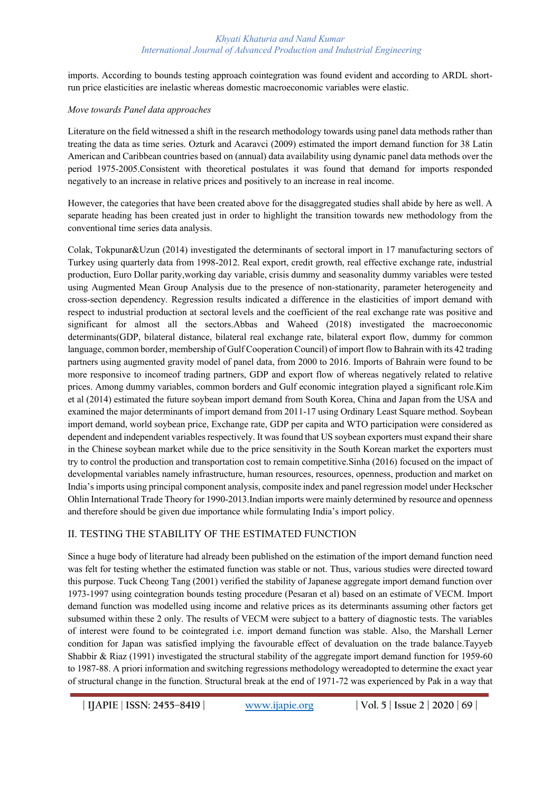imports. According to bounds testing approach cointegration was found evident and according to ARDL shortrun price elasticities are inelastic whereas domestic macroeconomic variables were elastic.

#### *Move towards Panel data approaches*

Literature on the field witnessed a shift in the research methodology towards using panel data methods rather than treating the data as time series. Ozturk and Acaravci (2009) estimated the import demand function for 38 Latin American and Caribbean countries based on (annual) data availability using dynamic panel data methods over the period 1975-2005.Consistent with theoretical postulates it was found that demand for imports responded negatively to an increase in relative prices and positively to an increase in real income.

However, the categories that have been created above for the disaggregated studies shall abide by here as well. A separate heading has been created just in order to highlight the transition towards new methodology from the conventional time series data analysis.

Colak, Tokpunar&Uzun (2014) investigated the determinants of sectoral import in 17 manufacturing sectors of Turkey using quarterly data from 1998-2012. Real export, credit growth, real effective exchange rate, industrial production, Euro Dollar parity,working day variable, crisis dummy and seasonality dummy variables were tested using Augmented Mean Group Analysis due to the presence of non-stationarity, parameter heterogeneity and cross-section dependency. Regression results indicated a difference in the elasticities of import demand with respect to industrial production at sectoral levels and the coefficient of the real exchange rate was positive and significant for almost all the sectors.Abbas and Waheed (2018) investigated the macroeconomic determinants(GDP, bilateral distance, bilateral real exchange rate, bilateral export flow, dummy for common language, common border, membership of Gulf Cooperation Council) of import flow to Bahrain with its 42 trading partners using augmented gravity model of panel data, from 2000 to 2016. Imports of Bahrain were found to be more responsive to incomeof trading partners, GDP and export flow of whereas negatively related to relative prices. Among dummy variables, common borders and Gulf economic integration played a significant role.Kim et al (2014) estimated the future soybean import demand from South Korea, China and Japan from the USA and examined the major determinants of import demand from 2011-17 using Ordinary Least Square method. Soybean import demand, world soybean price, Exchange rate, GDP per capita and WTO participation were considered as dependent and independent variables respectively. It was found that US soybean exporters must expand their share in the Chinese soybean market while due to the price sensitivity in the South Korean market the exporters must try to control the production and transportation cost to remain competitive.Sinha (2016) focused on the impact of developmental variables namely infrastructure, human resources, resources, openness, production and market on India's imports using principal component analysis, composite index and panel regression model under Heckscher Ohlin International Trade Theory for 1990-2013.Indian imports were mainly determined by resource and openness and therefore should be given due importance while formulating India's import policy.

## II. TESTING THE STABILITY OF THE ESTIMATED FUNCTION

Since a huge body of literature had already been published on the estimation of the import demand function need was felt for testing whether the estimated function was stable or not. Thus, various studies were directed toward this purpose. Tuck Cheong Tang (2001) verified the stability of Japanese aggregate import demand function over 1973-1997 using cointegration bounds testing procedure (Pesaran et al) based on an estimate of VECM. Import demand function was modelled using income and relative prices as its determinants assuming other factors get subsumed within these 2 only. The results of VECM were subject to a battery of diagnostic tests. The variables of interest were found to be cointegrated i.e. import demand function was stable. Also, the Marshall Lerner condition for Japan was satisfied implying the favourable effect of devaluation on the trade balance.Tayyeb Shabbir & Riaz (1991) investigated the structural stability of the aggregate import demand function for 1959-60 to 1987-88. A priori information and switching regressions methodology wereadopted to determine the exact year of structural change in the function. Structural break at the end of 1971-72 was experienced by Pak in a way that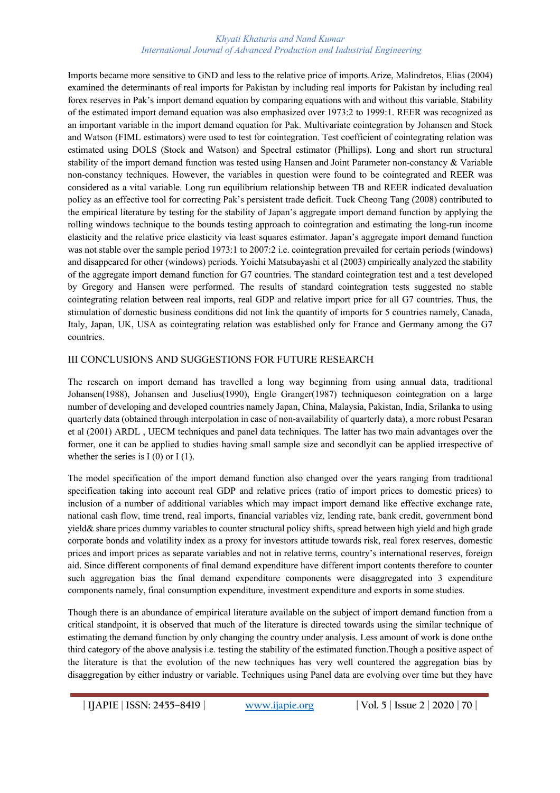Imports became more sensitive to GND and less to the relative price of imports.Arize, Malindretos, Elias (2004) examined the determinants of real imports for Pakistan by including real imports for Pakistan by including real forex reserves in Pak's import demand equation by comparing equations with and without this variable. Stability of the estimated import demand equation was also emphasized over 1973:2 to 1999:1. REER was recognized as an important variable in the import demand equation for Pak. Multivariate cointegration by Johansen and Stock and Watson (FIML estimators) were used to test for cointegration. Test coefficient of cointegrating relation was estimated using DOLS (Stock and Watson) and Spectral estimator (Phillips). Long and short run structural stability of the import demand function was tested using Hansen and Joint Parameter non-constancy & Variable non-constancy techniques. However, the variables in question were found to be cointegrated and REER was considered as a vital variable. Long run equilibrium relationship between TB and REER indicated devaluation policy as an effective tool for correcting Pak's persistent trade deficit. Tuck Cheong Tang (2008) contributed to the empirical literature by testing for the stability of Japan's aggregate import demand function by applying the rolling windows technique to the bounds testing approach to cointegration and estimating the long-run income elasticity and the relative price elasticity via least squares estimator. Japan's aggregate import demand function was not stable over the sample period 1973:1 to 2007:2 i.e. cointegration prevailed for certain periods (windows) and disappeared for other (windows) periods. Yoichi Matsubayashi et al (2003) empirically analyzed the stability of the aggregate import demand function for G7 countries. The standard cointegration test and a test developed by Gregory and Hansen were performed. The results of standard cointegration tests suggested no stable cointegrating relation between real imports, real GDP and relative import price for all G7 countries. Thus, the stimulation of domestic business conditions did not link the quantity of imports for 5 countries namely, Canada, Italy, Japan, UK, USA as cointegrating relation was established only for France and Germany among the G7 countries.

## III CONCLUSIONS AND SUGGESTIONS FOR FUTURE RESEARCH

The research on import demand has travelled a long way beginning from using annual data, traditional Johansen(1988), Johansen and Juselius(1990), Engle Granger(1987) techniqueson cointegration on a large number of developing and developed countries namely Japan, China, Malaysia, Pakistan, India, Srilanka to using quarterly data (obtained through interpolation in case of non-availability of quarterly data), a more robust Pesaran et al (2001) ARDL , UECM techniques and panel data techniques. The latter has two main advantages over the former, one it can be applied to studies having small sample size and secondlyit can be applied irrespective of whether the series is  $I(0)$  or  $I(1)$ .

The model specification of the import demand function also changed over the years ranging from traditional specification taking into account real GDP and relative prices (ratio of import prices to domestic prices) to inclusion of a number of additional variables which may impact import demand like effective exchange rate, national cash flow, time trend, real imports, financial variables viz, lending rate, bank credit, government bond yield& share prices dummy variables to counter structural policy shifts, spread between high yield and high grade corporate bonds and volatility index as a proxy for investors attitude towards risk, real forex reserves, domestic prices and import prices as separate variables and not in relative terms, country's international reserves, foreign aid. Since different components of final demand expenditure have different import contents therefore to counter such aggregation bias the final demand expenditure components were disaggregated into 3 expenditure components namely, final consumption expenditure, investment expenditure and exports in some studies.

Though there is an abundance of empirical literature available on the subject of import demand function from a critical standpoint, it is observed that much of the literature is directed towards using the similar technique of estimating the demand function by only changing the country under analysis. Less amount of work is done onthe third category of the above analysis i.e. testing the stability of the estimated function.Though a positive aspect of the literature is that the evolution of the new techniques has very well countered the aggregation bias by disaggregation by either industry or variable. Techniques using Panel data are evolving over time but they have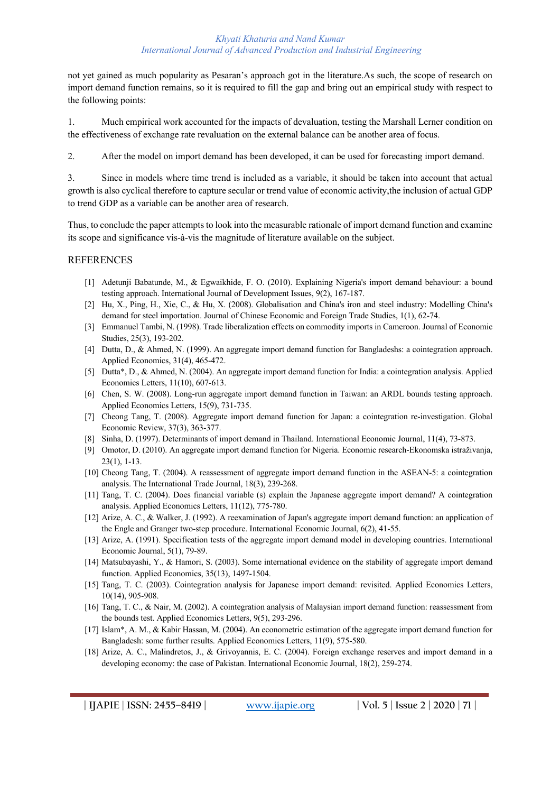not yet gained as much popularity as Pesaran's approach got in the literature.As such, the scope of research on import demand function remains, so it is required to fill the gap and bring out an empirical study with respect to the following points:

1. Much empirical work accounted for the impacts of devaluation, testing the Marshall Lerner condition on the effectiveness of exchange rate revaluation on the external balance can be another area of focus.

2. After the model on import demand has been developed, it can be used for forecasting import demand.

3. Since in models where time trend is included as a variable, it should be taken into account that actual growth is also cyclical therefore to capture secular or trend value of economic activity,the inclusion of actual GDP to trend GDP as a variable can be another area of research.

Thus, to conclude the paper attempts to look into the measurable rationale of import demand function and examine its scope and significance vis-à-vis the magnitude of literature available on the subject.

## REFERENCES

- [1] Adetunji Babatunde, M., & Egwaikhide, F. O. (2010). Explaining Nigeria's import demand behaviour: a bound testing approach. International Journal of Development Issues, 9(2), 167-187.
- [2] Hu, X., Ping, H., Xie, C., & Hu, X. (2008). Globalisation and China's iron and steel industry: Modelling China's demand for steel importation. Journal of Chinese Economic and Foreign Trade Studies, 1(1), 62-74.
- [3] Emmanuel Tambi, N. (1998). Trade liberalization effects on commodity imports in Cameroon. Journal of Economic Studies, 25(3), 193-202.
- [4] Dutta, D., & Ahmed, N. (1999). An aggregate import demand function for Bangladeshs: a cointegration approach. Applied Economics, 31(4), 465-472.
- [5] Dutta\*, D., & Ahmed, N. (2004). An aggregate import demand function for India: a cointegration analysis. Applied Economics Letters, 11(10), 607-613.
- [6] Chen, S. W. (2008). Long-run aggregate import demand function in Taiwan: an ARDL bounds testing approach. Applied Economics Letters, 15(9), 731-735.
- [7] Cheong Tang, T. (2008). Aggregate import demand function for Japan: a cointegration re-investigation. Global Economic Review, 37(3), 363-377.
- [8] Sinha, D. (1997). Determinants of import demand in Thailand. International Economic Journal, 11(4), 73-873.
- [9] Omotor, D. (2010). An aggregate import demand function for Nigeria. Economic research-Ekonomska istraživanja, 23(1), 1-13.
- [10] Cheong Tang, T. (2004). A reassessment of aggregate import demand function in the ASEAN-5: a cointegration analysis. The International Trade Journal, 18(3), 239-268.
- [11] Tang, T. C. (2004). Does financial variable (s) explain the Japanese aggregate import demand? A cointegration analysis. Applied Economics Letters, 11(12), 775-780.
- [12] Arize, A. C., & Walker, J. (1992). A reexamination of Japan's aggregate import demand function: an application of the Engle and Granger two-step procedure. International Economic Journal, 6(2), 41-55.
- [13] Arize, A. (1991). Specification tests of the aggregate import demand model in developing countries. International Economic Journal, 5(1), 79-89.
- [14] Matsubayashi, Y., & Hamori, S. (2003). Some international evidence on the stability of aggregate import demand function. Applied Economics, 35(13), 1497-1504.
- [15] Tang, T. C. (2003). Cointegration analysis for Japanese import demand: revisited. Applied Economics Letters, 10(14), 905-908.
- [16] Tang, T. C., & Nair, M. (2002). A cointegration analysis of Malaysian import demand function: reassessment from the bounds test. Applied Economics Letters, 9(5), 293-296.
- [17] Islam\*, A. M., & Kabir Hassan, M. (2004). An econometric estimation of the aggregate import demand function for Bangladesh: some further results. Applied Economics Letters, 11(9), 575-580.
- [18] Arize, A. C., Malindretos, J., & Grivoyannis, E. C. (2004). Foreign exchange reserves and import demand in a developing economy: the case of Pakistan. International Economic Journal, 18(2), 259-274.